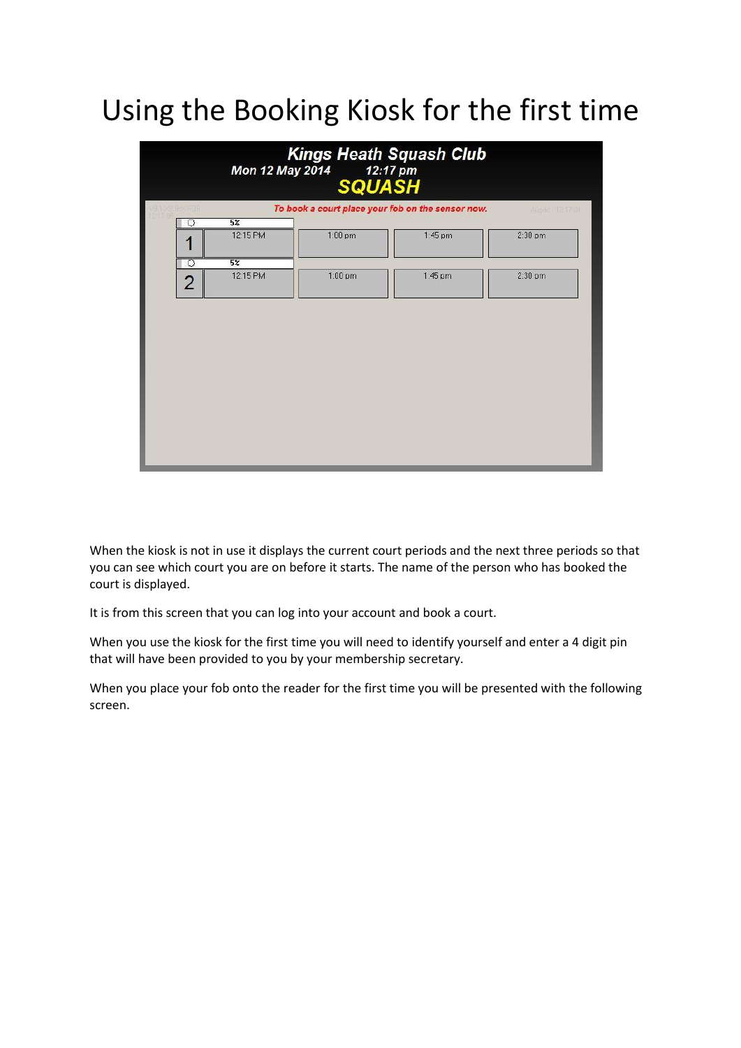# Using the Booking Kiosk for the first time

|                |                              | Mon 12 May 2014 12:17 pm<br><b>SQUASH</b> | <b>Kings Heath Squash Club</b>                    |                    |
|----------------|------------------------------|-------------------------------------------|---------------------------------------------------|--------------------|
| ※9.98 しには      |                              |                                           | To book a court place your fob on the sensor now. | Aupdo - 12 17:01   |
| O<br>z         | $\overline{5\%}$<br>12:15 PM | $1:00~\text{pm}$                          | $1:45$ pm                                         | $2:30~\mathrm{pm}$ |
| ত              | 5 <sup>2</sup>               |                                           |                                                   |                    |
| $\overline{2}$ | 12:15 PM                     | $1:00~\text{pm}$                          | 1:45 pm                                           | $2:30$ pm          |
|                |                              |                                           |                                                   |                    |
|                |                              |                                           |                                                   |                    |
|                |                              |                                           |                                                   |                    |
|                |                              |                                           |                                                   |                    |
|                |                              |                                           |                                                   |                    |
|                |                              |                                           |                                                   |                    |

When the kiosk is not in use it displays the current court periods and the next three periods so that you can see which court you are on before it starts. The name of the person who has booked the court is displayed.

It is from this screen that you can log into your account and book a court.

When you use the kiosk for the first time you will need to identify yourself and enter a 4 digit pin that will have been provided to you by your membership secretary.

When you place your fob onto the reader for the first time you will be presented with the following screen.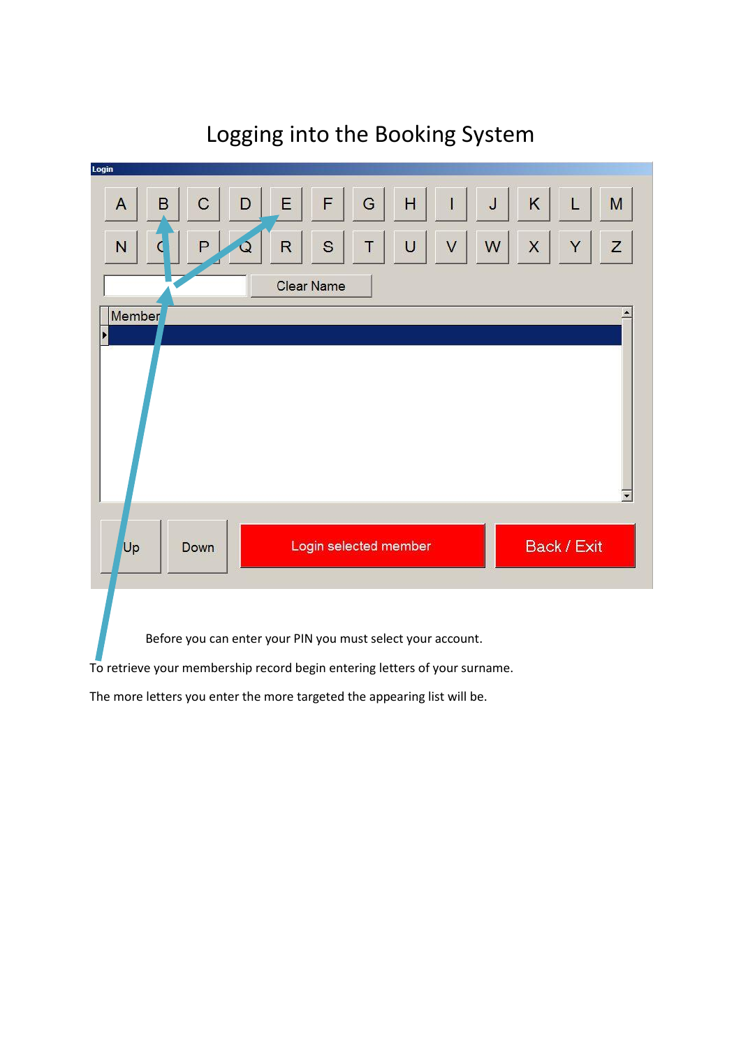#### Logging into the Booking System

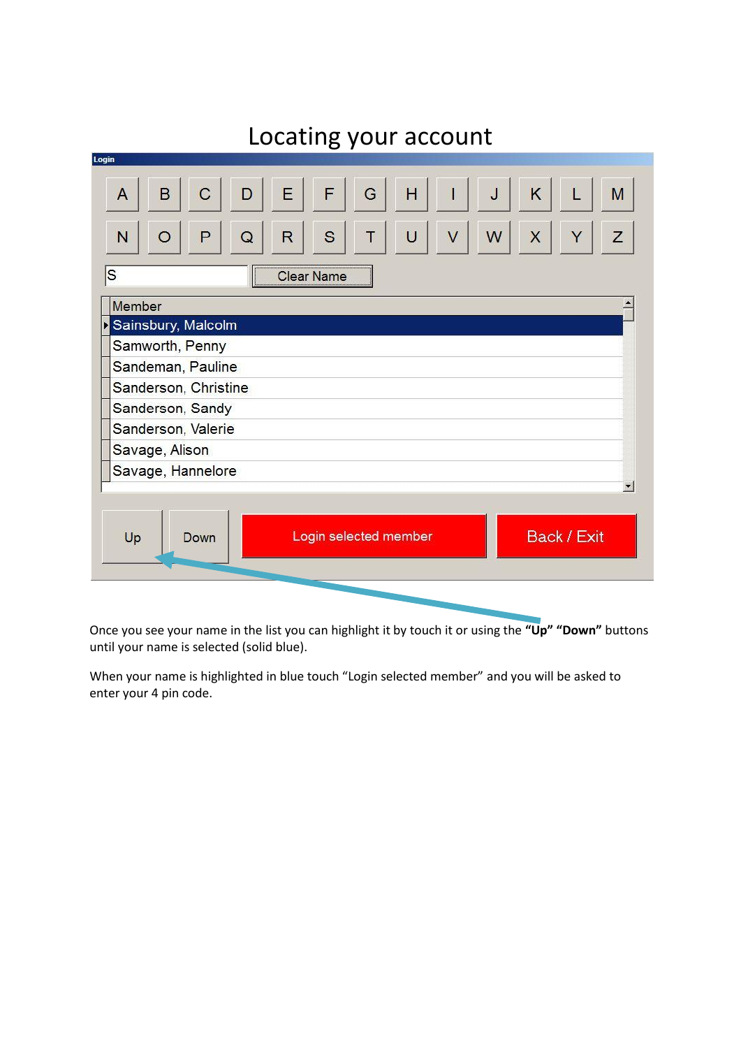| -------------<br>--------                                                       |
|---------------------------------------------------------------------------------|
| Login                                                                           |
| F<br>K<br>H<br>B<br>E<br>G<br>J<br>$\mathsf C$<br>M<br>$\overline{A}$<br>D<br>I |
| S<br>W<br>R<br>U<br>V<br>X<br>Ζ<br>N<br>P<br>Y<br>Τ<br>$\circ$<br>Q             |
| S<br>Clear Name                                                                 |
| Member                                                                          |
| Sainsbury, Malcolm                                                              |
| Samworth, Penny                                                                 |
| Sandeman, Pauline                                                               |
| Sanderson, Christine                                                            |
| Sanderson, Sandy                                                                |
| Sanderson, Valerie                                                              |
| Savage, Alison                                                                  |
| Savage, Hannelore                                                               |
| $\blacktriangledown$                                                            |
| Back / Exit<br>Login selected member<br>Up<br>Down                              |
|                                                                                 |

Once you see your name in the list you can highlight it by touch it or using the **"Up" "Down"** buttons until your name is selected (solid blue).

When your name is highlighted in blue touch "Login selected member" and you will be asked to enter your 4 pin code.

## Locating your account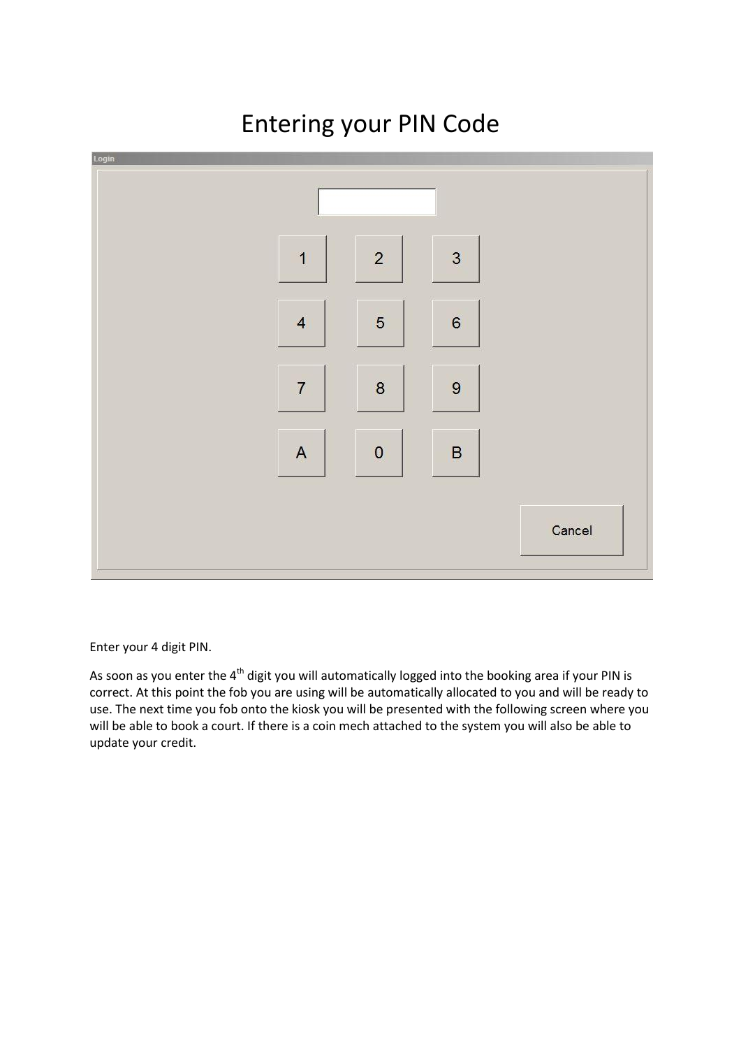## $\overline{c}$ 3  $\overline{1}$  $\overline{4}$ 5 6  $\overline{7}$ 8 9  $\mathbf 0$ A B Cancel

### Entering your PIN Code

Enter your 4 digit PIN.

As soon as you enter the  $4<sup>th</sup>$  digit you will automatically logged into the booking area if your PIN is correct. At this point the fob you are using will be automatically allocated to you and will be ready to use. The next time you fob onto the kiosk you will be presented with the following screen where you will be able to book a court. If there is a coin mech attached to the system you will also be able to update your credit.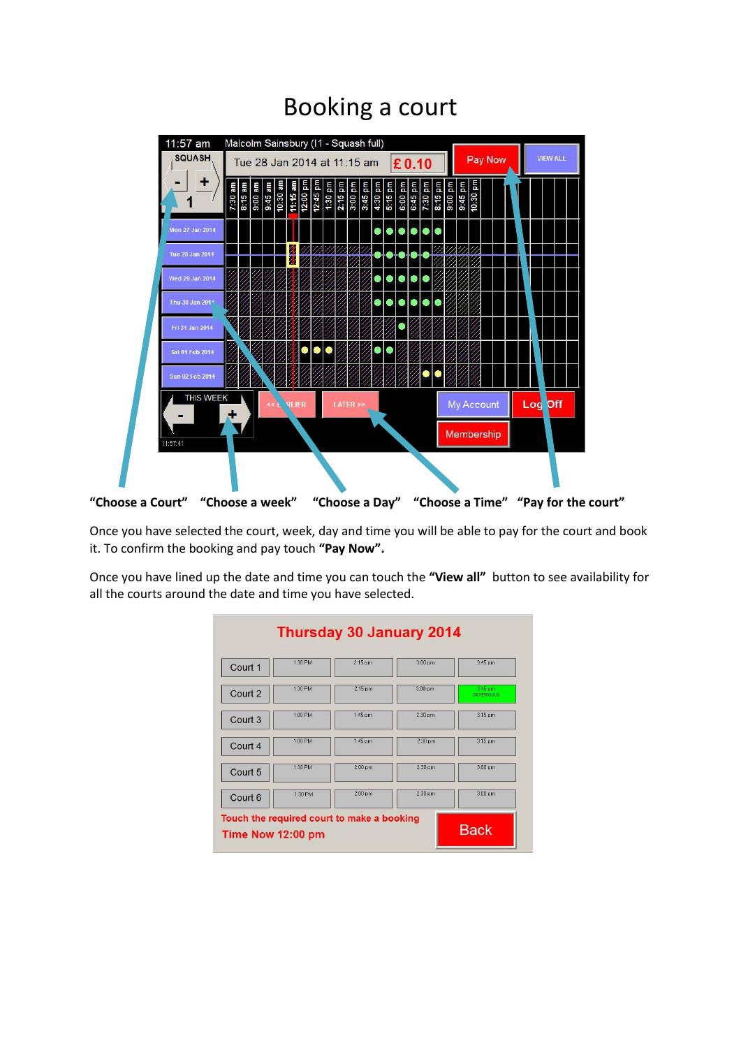#### Booking a court



Once you have selected the court, week, day and time you will be able to pay for the court and book it. To confirm the booking and pay touch **"Pay Now".**

Once you have lined up the date and time you can touch the **"View all"** button to see availability for all the courts around the date and time you have selected.

|         | <b>Thursday 30 January 2014</b>                                 |           |           |                       |
|---------|-----------------------------------------------------------------|-----------|-----------|-----------------------|
| Court 1 | 1:30 PM                                                         | $2:15$ pm | $3:00$ pm | $3:45$ pm             |
| Court 2 | 1:30 PM                                                         | 2:15 pm   | $3:00$ pm | 3:45 pm<br>SLVER/GOLD |
| Court 3 | 1:00 PM                                                         | 1:45 pm   | $2:30$ pm | $3:15$ pm             |
| Court 4 | 1:00 PM                                                         | $1:45$ pm | $2:30$ pm | $3:15$ pm             |
| Court 5 | 1:30 PM                                                         | $2:00$ pm | $2:30$ pm | $3:00$ pm             |
| Court 6 | 1:30 PM                                                         | $2:00$ pm | $2:30$ pm | $3:00$ pm             |
|         | Touch the required court to make a booking<br>Time Now 12:00 pm |           |           | <b>Back</b>           |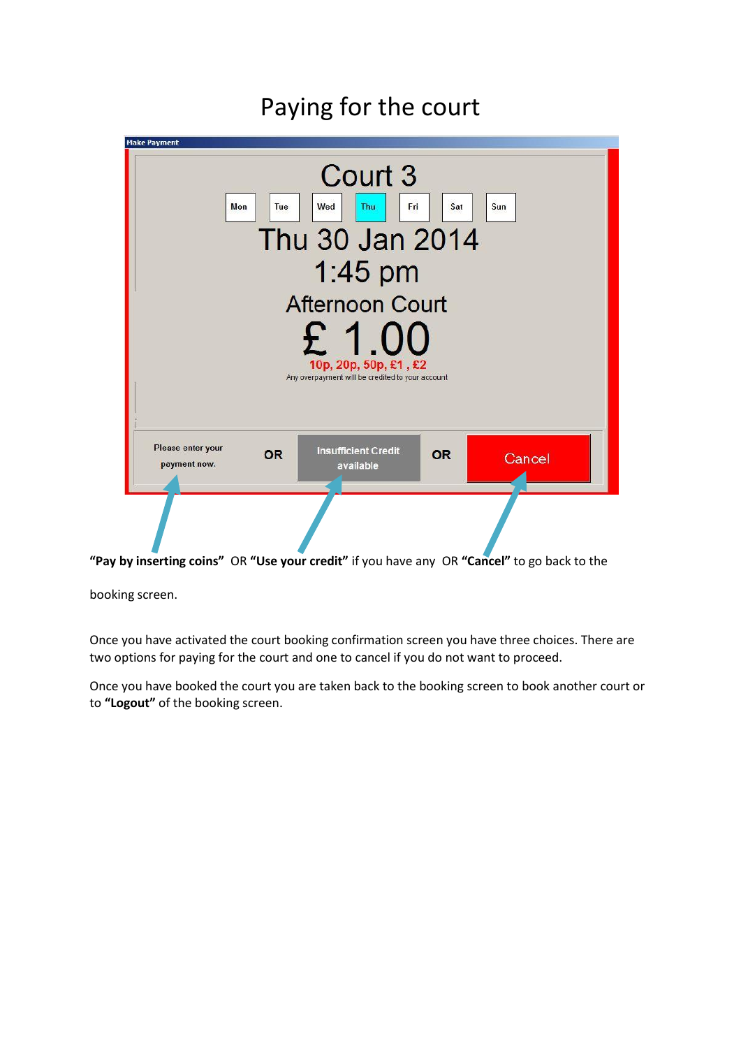

#### Paying for the court

**"Pay by inserting coins"** OR **"Use your credit"** if you have any OR **"Cancel"** to go back to the

booking screen.

Once you have activated the court booking confirmation screen you have three choices. There are two options for paying for the court and one to cancel if you do not want to proceed.

Once you have booked the court you are taken back to the booking screen to book another court or to **"Logout"** of the booking screen.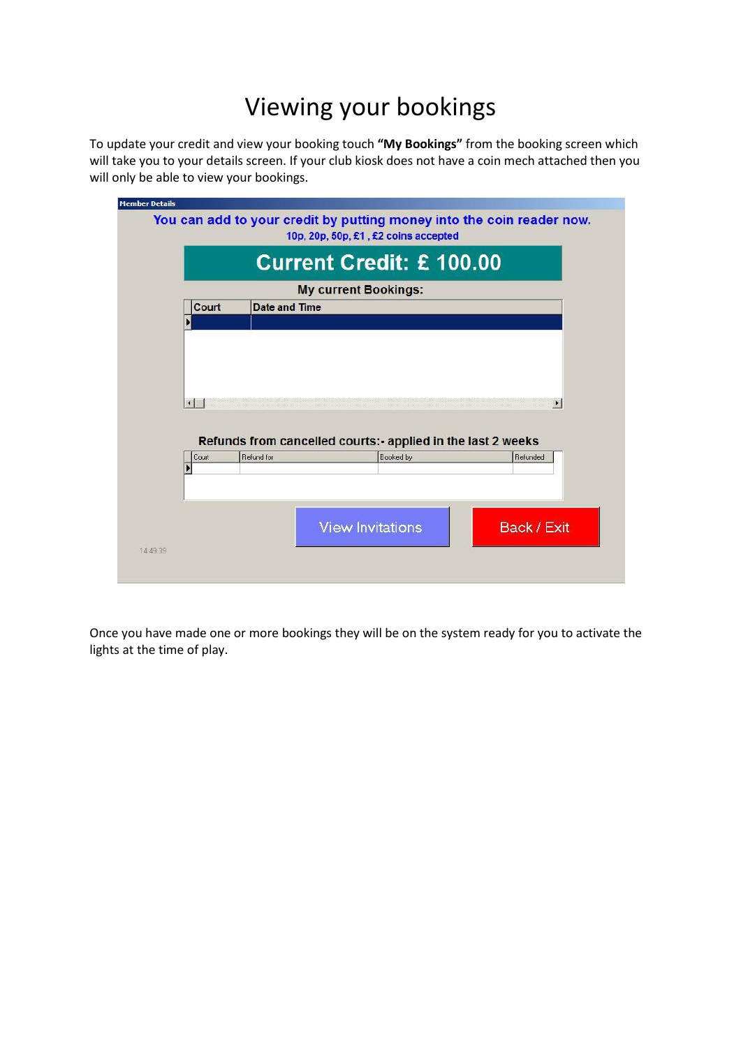### Viewing your bookings

To update your credit and view your booking touch **"My Bookings"** from the booking screen which will take you to your details screen. If your club kiosk does not have a coin mech attached then you will only be able to view your bookings.

|                | <b>Current Credit: £100.00</b>                              |                             |                       |
|----------------|-------------------------------------------------------------|-----------------------------|-----------------------|
|                |                                                             | <b>My current Bookings:</b> |                       |
| Court          | Date and Time                                               |                             |                       |
|                |                                                             |                             |                       |
|                |                                                             |                             |                       |
|                |                                                             |                             |                       |
|                |                                                             |                             |                       |
|                |                                                             |                             |                       |
|                |                                                             |                             |                       |
|                |                                                             |                             |                       |
| $\blacksquare$ |                                                             |                             | $\blacktriangleright$ |
|                |                                                             |                             |                       |
|                |                                                             |                             |                       |
|                | Refunds from cancelled courts:- applied in the last 2 weeks |                             |                       |
| Court          | Refund for                                                  | Booked by                   | Refunded              |
|                |                                                             |                             |                       |
|                |                                                             |                             |                       |
|                |                                                             |                             |                       |
|                |                                                             |                             |                       |
|                |                                                             |                             |                       |
|                |                                                             | <b>View Invitations</b>     | Back / Exit           |

Once you have made one or more bookings they will be on the system ready for you to activate the lights at the time of play.